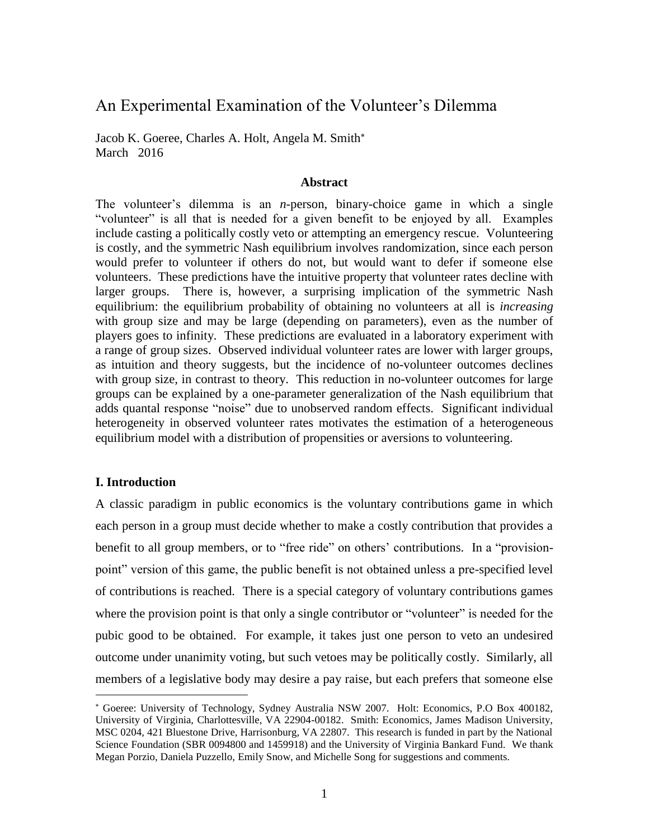# An Experimental Examination of the Volunteer's Dilemma

Jacob K. Goeree, Charles A. Holt, Angela M. Smith March 2016

#### **Abstract**

The volunteer's dilemma is an *n*-person, binary-choice game in which a single "volunteer" is all that is needed for a given benefit to be enjoyed by all. Examples include casting a politically costly veto or attempting an emergency rescue. Volunteering is costly, and the symmetric Nash equilibrium involves randomization, since each person would prefer to volunteer if others do not, but would want to defer if someone else volunteers. These predictions have the intuitive property that volunteer rates decline with larger groups. There is, however, a surprising implication of the symmetric Nash equilibrium: the equilibrium probability of obtaining no volunteers at all is *increasing* with group size and may be large (depending on parameters), even as the number of players goes to infinity. These predictions are evaluated in a laboratory experiment with a range of group sizes. Observed individual volunteer rates are lower with larger groups, as intuition and theory suggests, but the incidence of no-volunteer outcomes declines with group size, in contrast to theory. This reduction in no-volunteer outcomes for large groups can be explained by a one-parameter generalization of the Nash equilibrium that adds quantal response "noise" due to unobserved random effects. Significant individual heterogeneity in observed volunteer rates motivates the estimation of a heterogeneous equilibrium model with a distribution of propensities or aversions to volunteering.

#### **I. Introduction**

 $\overline{a}$ 

A classic paradigm in public economics is the voluntary contributions game in which each person in a group must decide whether to make a costly contribution that provides a benefit to all group members, or to "free ride" on others' contributions. In a "provisionpoint" version of this game, the public benefit is not obtained unless a pre-specified level of contributions is reached. There is a special category of voluntary contributions games where the provision point is that only a single contributor or "volunteer" is needed for the pubic good to be obtained. For example, it takes just one person to veto an undesired outcome under unanimity voting, but such vetoes may be politically costly. Similarly, all members of a legislative body may desire a pay raise, but each prefers that someone else

Goeree: University of Technology, Sydney Australia NSW 2007. Holt: Economics, P.O Box 400182, University of Virginia, Charlottesville, VA 22904-00182. Smith: Economics, James Madison University, MSC 0204, 421 Bluestone Drive, Harrisonburg, VA 22807. This research is funded in part by the National Science Foundation (SBR 0094800 and 1459918) and the University of Virginia Bankard Fund. We thank Megan Porzio, Daniela Puzzello, Emily Snow, and Michelle Song for suggestions and comments.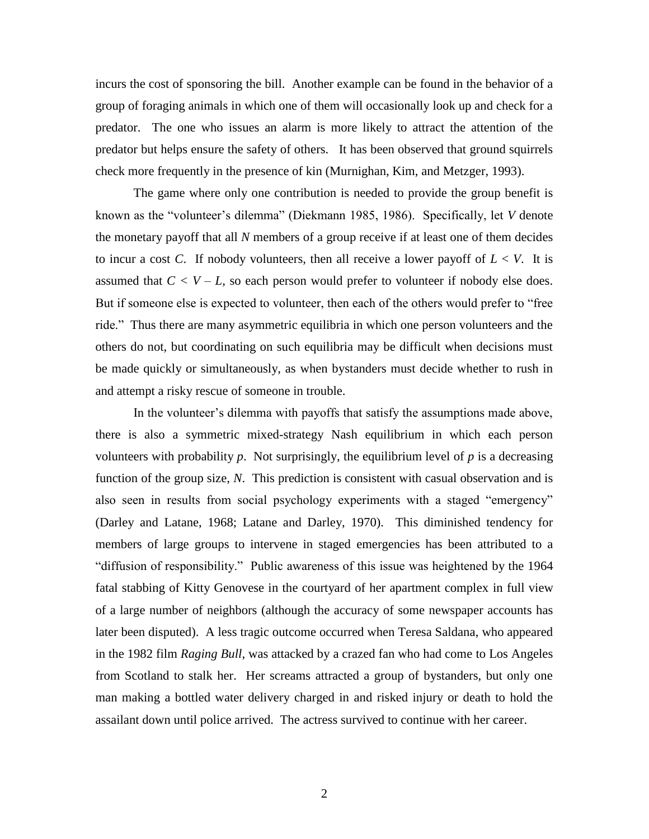incurs the cost of sponsoring the bill. Another example can be found in the behavior of a group of foraging animals in which one of them will occasionally look up and check for a predator. The one who issues an alarm is more likely to attract the attention of the predator but helps ensure the safety of others. It has been observed that ground squirrels check more frequently in the presence of kin (Murnighan, Kim, and Metzger, 1993).

The game where only one contribution is needed to provide the group benefit is known as the "volunteer's dilemma" (Diekmann 1985, 1986). Specifically, let *V* denote the monetary payoff that all *N* members of a group receive if at least one of them decides to incur a cost *C*. If nobody volunteers, then all receive a lower payoff of  $L < V$ . It is assumed that  $C < V - L$ , so each person would prefer to volunteer if nobody else does. But if someone else is expected to volunteer, then each of the others would prefer to "free ride." Thus there are many asymmetric equilibria in which one person volunteers and the others do not, but coordinating on such equilibria may be difficult when decisions must be made quickly or simultaneously, as when bystanders must decide whether to rush in and attempt a risky rescue of someone in trouble.

In the volunteer's dilemma with payoffs that satisfy the assumptions made above, there is also a symmetric mixed-strategy Nash equilibrium in which each person volunteers with probability  $p$ . Not surprisingly, the equilibrium level of  $p$  is a decreasing function of the group size, *N*. This prediction is consistent with casual observation and is also seen in results from social psychology experiments with a staged "emergency" (Darley and Latane, 1968; Latane and Darley, 1970). This diminished tendency for members of large groups to intervene in staged emergencies has been attributed to a "diffusion of responsibility." Public awareness of this issue was heightened by the 1964 fatal stabbing of Kitty Genovese in the courtyard of her apartment complex in full view of a large number of neighbors (although the accuracy of some newspaper accounts has later been disputed). A less tragic outcome occurred when Teresa Saldana, who appeared in the 1982 film *Raging Bull*, was attacked by a crazed fan who had come to Los Angeles from Scotland to stalk her. Her screams attracted a group of bystanders, but only one man making a bottled water delivery charged in and risked injury or death to hold the assailant down until police arrived. The actress survived to continue with her career.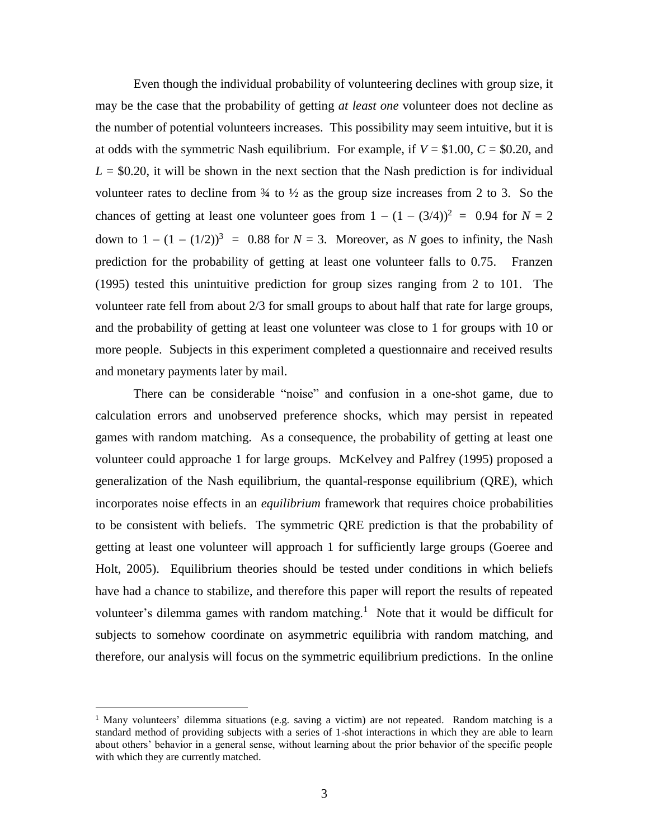Even though the individual probability of volunteering declines with group size, it may be the case that the probability of getting *at least one* volunteer does not decline as the number of potential volunteers increases. This possibility may seem intuitive, but it is at odds with the symmetric Nash equilibrium. For example, if  $V = $1.00, C = $0.20$ , and  $L = $0.20$ , it will be shown in the next section that the Nash prediction is for individual volunteer rates to decline from  $\frac{3}{4}$  to  $\frac{1}{2}$  as the group size increases from 2 to 3. So the chances of getting at least one volunteer goes from  $1 - (1 - (3/4))^2 = 0.94$  for  $N = 2$ down to  $1 - (1 - (1/2))^3 = 0.88$  for  $N = 3$ . Moreover, as *N* goes to infinity, the Nash prediction for the probability of getting at least one volunteer falls to 0.75. Franzen (1995) tested this unintuitive prediction for group sizes ranging from 2 to 101. The volunteer rate fell from about 2/3 for small groups to about half that rate for large groups, and the probability of getting at least one volunteer was close to 1 for groups with 10 or more people. Subjects in this experiment completed a questionnaire and received results and monetary payments later by mail.

There can be considerable "noise" and confusion in a one-shot game, due to calculation errors and unobserved preference shocks, which may persist in repeated games with random matching. As a consequence, the probability of getting at least one volunteer could approache 1 for large groups. McKelvey and Palfrey (1995) proposed a generalization of the Nash equilibrium, the quantal-response equilibrium (QRE), which incorporates noise effects in an *equilibrium* framework that requires choice probabilities to be consistent with beliefs. The symmetric QRE prediction is that the probability of getting at least one volunteer will approach 1 for sufficiently large groups (Goeree and Holt, 2005). Equilibrium theories should be tested under conditions in which beliefs have had a chance to stabilize, and therefore this paper will report the results of repeated volunteer's dilemma games with random matching.<sup>1</sup> Note that it would be difficult for subjects to somehow coordinate on asymmetric equilibria with random matching, and therefore, our analysis will focus on the symmetric equilibrium predictions. In the online

<sup>&</sup>lt;sup>1</sup> Many volunteers' dilemma situations (e.g. saving a victim) are not repeated. Random matching is a standard method of providing subjects with a series of 1-shot interactions in which they are able to learn about others' behavior in a general sense, without learning about the prior behavior of the specific people with which they are currently matched.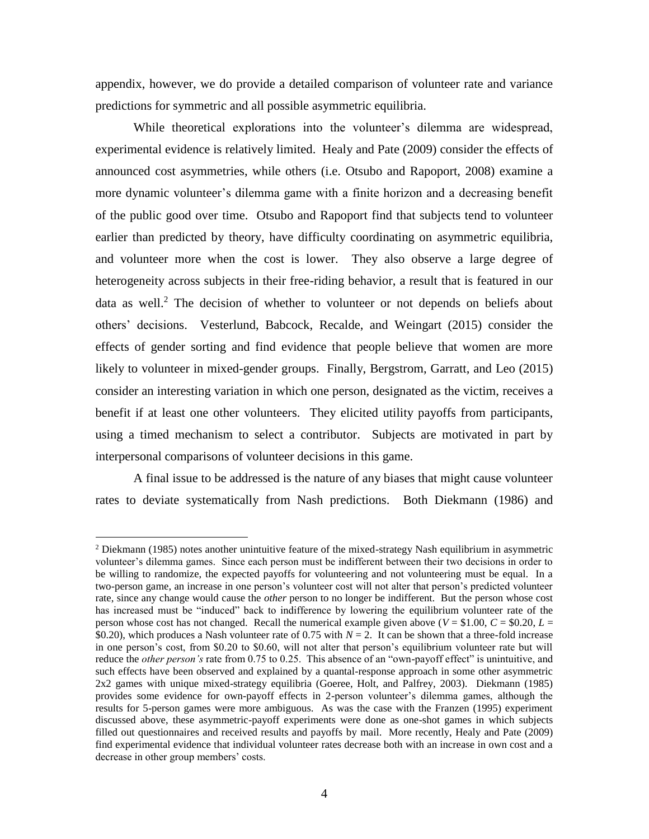appendix, however, we do provide a detailed comparison of volunteer rate and variance predictions for symmetric and all possible asymmetric equilibria.

While theoretical explorations into the volunteer's dilemma are widespread, experimental evidence is relatively limited. Healy and Pate (2009) consider the effects of announced cost asymmetries, while others (i.e. Otsubo and Rapoport, 2008) examine a more dynamic volunteer's dilemma game with a finite horizon and a decreasing benefit of the public good over time. Otsubo and Rapoport find that subjects tend to volunteer earlier than predicted by theory, have difficulty coordinating on asymmetric equilibria, and volunteer more when the cost is lower. They also observe a large degree of heterogeneity across subjects in their free-riding behavior, a result that is featured in our data as well.<sup>2</sup> The decision of whether to volunteer or not depends on beliefs about others' decisions. Vesterlund, Babcock, Recalde, and Weingart (2015) consider the effects of gender sorting and find evidence that people believe that women are more likely to volunteer in mixed-gender groups. Finally, Bergstrom, Garratt, and Leo (2015) consider an interesting variation in which one person, designated as the victim, receives a benefit if at least one other volunteers. They elicited utility payoffs from participants, using a timed mechanism to select a contributor. Subjects are motivated in part by interpersonal comparisons of volunteer decisions in this game.

A final issue to be addressed is the nature of any biases that might cause volunteer rates to deviate systematically from Nash predictions. Both Diekmann (1986) and

 $2$  Diekmann (1985) notes another unintuitive feature of the mixed-strategy Nash equilibrium in asymmetric volunteer's dilemma games. Since each person must be indifferent between their two decisions in order to be willing to randomize, the expected payoffs for volunteering and not volunteering must be equal. In a two-person game, an increase in one person's volunteer cost will not alter that person's predicted volunteer rate, since any change would cause the *other* person to no longer be indifferent. But the person whose cost has increased must be "induced" back to indifference by lowering the equilibrium volunteer rate of the person whose cost has not changed. Recall the numerical example given above ( $V = $1.00$ ,  $C = $0.20$ ,  $L =$ \$0.20), which produces a Nash volunteer rate of 0.75 with  $N = 2$ . It can be shown that a three-fold increase in one person's cost, from \$0.20 to \$0.60, will not alter that person's equilibrium volunteer rate but will reduce the *other person's* rate from 0.75 to 0.25. This absence of an "own-payoff effect" is unintuitive, and such effects have been observed and explained by a quantal-response approach in some other asymmetric 2x2 games with unique mixed-strategy equilibria (Goeree, Holt, and Palfrey, 2003). Diekmann (1985) provides some evidence for own-payoff effects in 2-person volunteer's dilemma games, although the results for 5-person games were more ambiguous. As was the case with the Franzen (1995) experiment discussed above, these asymmetric-payoff experiments were done as one-shot games in which subjects filled out questionnaires and received results and payoffs by mail. More recently, Healy and Pate (2009) find experimental evidence that individual volunteer rates decrease both with an increase in own cost and a decrease in other group members' costs.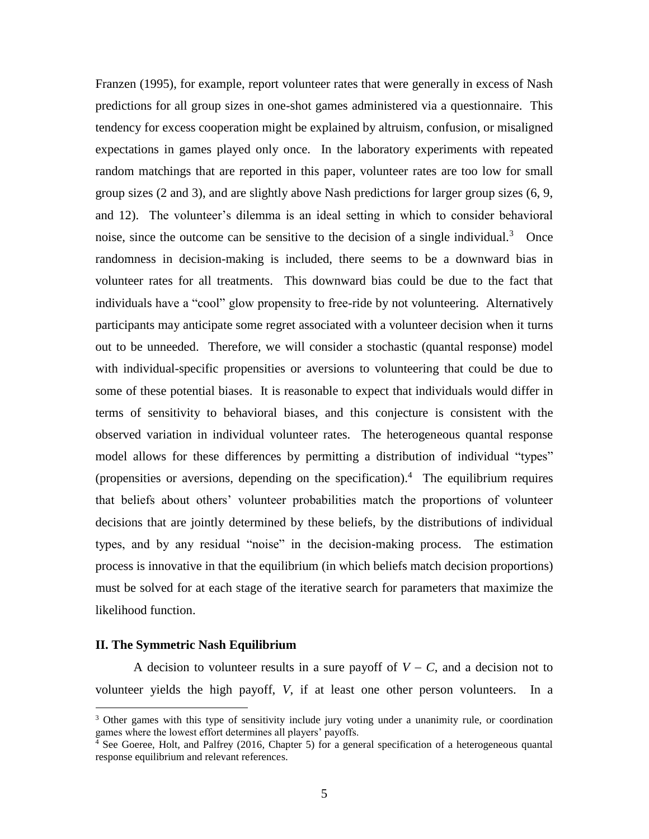Franzen (1995), for example, report volunteer rates that were generally in excess of Nash predictions for all group sizes in one-shot games administered via a questionnaire. This tendency for excess cooperation might be explained by altruism, confusion, or misaligned expectations in games played only once. In the laboratory experiments with repeated random matchings that are reported in this paper, volunteer rates are too low for small group sizes (2 and 3), and are slightly above Nash predictions for larger group sizes (6, 9, and 12). The volunteer's dilemma is an ideal setting in which to consider behavioral noise, since the outcome can be sensitive to the decision of a single individual.<sup>3</sup> Once randomness in decision-making is included, there seems to be a downward bias in volunteer rates for all treatments. This downward bias could be due to the fact that individuals have a "cool" glow propensity to free-ride by not volunteering. Alternatively participants may anticipate some regret associated with a volunteer decision when it turns out to be unneeded. Therefore, we will consider a stochastic (quantal response) model with individual-specific propensities or aversions to volunteering that could be due to some of these potential biases. It is reasonable to expect that individuals would differ in terms of sensitivity to behavioral biases, and this conjecture is consistent with the observed variation in individual volunteer rates. The heterogeneous quantal response model allows for these differences by permitting a distribution of individual "types" (propensities or aversions, depending on the specification). 4 The equilibrium requires that beliefs about others' volunteer probabilities match the proportions of volunteer decisions that are jointly determined by these beliefs, by the distributions of individual types, and by any residual "noise" in the decision-making process. The estimation process is innovative in that the equilibrium (in which beliefs match decision proportions) must be solved for at each stage of the iterative search for parameters that maximize the likelihood function.

#### **II. The Symmetric Nash Equilibrium**

 $\overline{a}$ 

A decision to volunteer results in a sure payoff of  $V - C$ , and a decision not to volunteer yields the high payoff, *V*, if at least one other person volunteers. In a

<sup>&</sup>lt;sup>3</sup> Other games with this type of sensitivity include jury voting under a unanimity rule, or coordination games where the lowest effort determines all players' payoffs.

<sup>&</sup>lt;sup>4</sup> See Goeree, Holt, and Palfrey (2016, Chapter 5) for a general specification of a heterogeneous quantal response equilibrium and relevant references.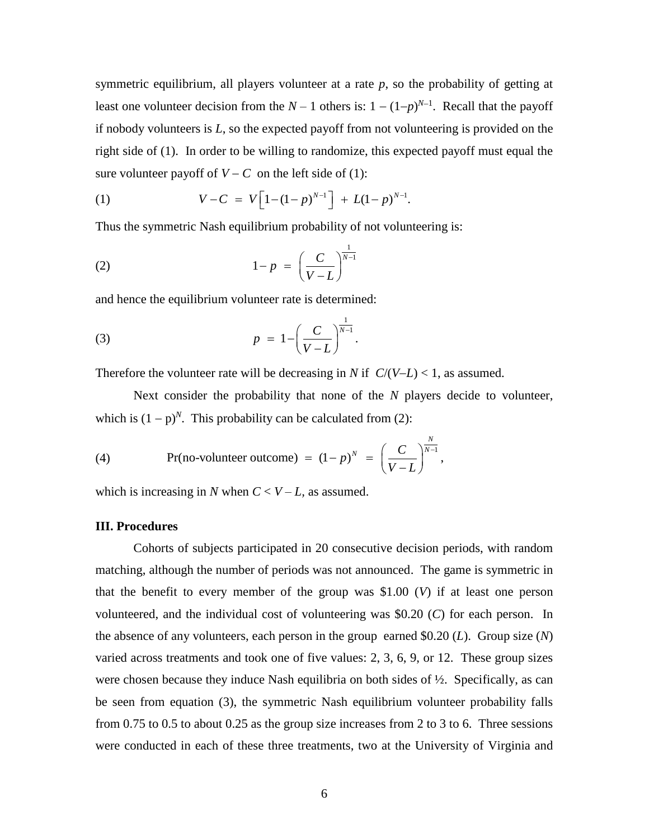symmetric equilibrium, all players volunteer at a rate *p*, so the probability of getting at least one volunteer decision from the  $N-1$  others is:  $1-(1-p)^{N-1}$ . Recall that the payoff if nobody volunteers is *L*, so the expected payoff from not volunteering is provided on the right side of (1). In order to be willing to randomize, this expected payoff must equal the

sure volunter payoff of 
$$
V - C
$$
 on the left side of (1):

\n
$$
V - C = V \left[ 1 - (1 - p)^{N-1} \right] + L(1 - p)^{N-1}.
$$

Thus the symmetric Nash equilibrium probability of not volunteering is:

(2) 
$$
1-p = \left(\frac{C}{V-L}\right)^{\frac{1}{N-1}}
$$

and hence the equilibrium volunteer rate is determined:

(3) 
$$
p = 1 - \left(\frac{C}{V - L}\right)^{\frac{1}{N-1}}.
$$

Therefore the volunteer rate will be decreasing in *N* if  $C/(V-L) < 1$ , as assumed.

Next consider the probability that none of the *N* players decide to volunteer, which is  $(1 - p)^N$ . This probability can be calculated from (2):

which is 
$$
(1 - p)^n
$$
. This probability can be calculated from (2):  
\n(4) 
$$
Pr(no-volume) = (1 - p)^N = \left(\frac{C}{V - L}\right)^{\frac{N}{N-1}},
$$

which is increasing in *N* when  $C < V - L$ , as assumed.

#### **III. Procedures**

Cohorts of subjects participated in 20 consecutive decision periods, with random matching, although the number of periods was not announced. The game is symmetric in that the benefit to every member of the group was \$1.00 (*V*) if at least one person volunteered, and the individual cost of volunteering was \$0.20 (*C*) for each person. In the absence of any volunteers, each person in the group earned \$0.20 (*L*). Group size (*N*) varied across treatments and took one of five values: 2, 3, 6, 9, or 12. These group sizes were chosen because they induce Nash equilibria on both sides of ½. Specifically, as can be seen from equation (3), the symmetric Nash equilibrium volunteer probability falls from 0.75 to 0.5 to about 0.25 as the group size increases from 2 to 3 to 6. Three sessions were conducted in each of these three treatments, two at the University of Virginia and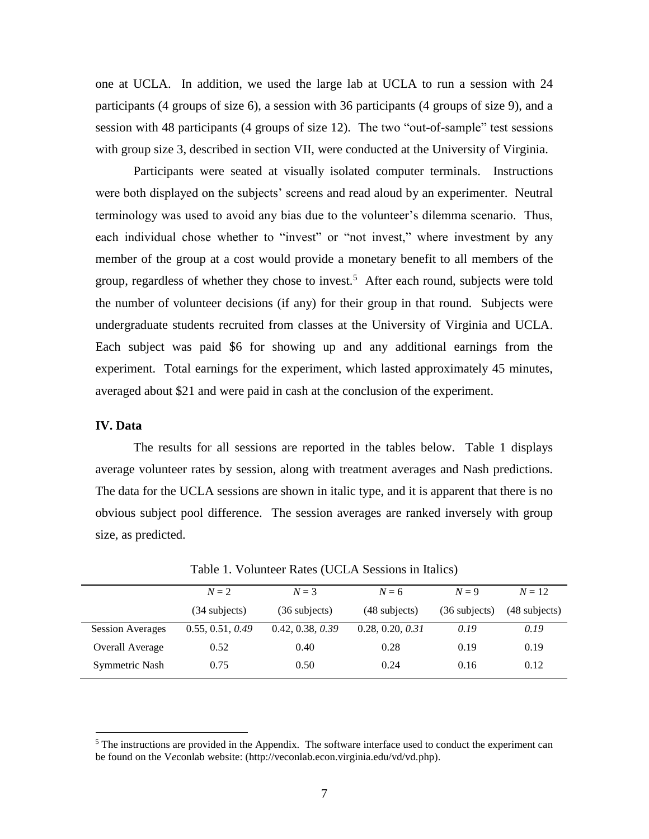one at UCLA. In addition, we used the large lab at UCLA to run a session with 24 participants (4 groups of size 6), a session with 36 participants (4 groups of size 9), and a session with 48 participants (4 groups of size 12). The two "out-of-sample" test sessions with group size 3, described in section VII, were conducted at the University of Virginia.

Participants were seated at visually isolated computer terminals. Instructions were both displayed on the subjects' screens and read aloud by an experimenter. Neutral terminology was used to avoid any bias due to the volunteer's dilemma scenario. Thus, each individual chose whether to "invest" or "not invest," where investment by any member of the group at a cost would provide a monetary benefit to all members of the group, regardless of whether they chose to invest.<sup>5</sup> After each round, subjects were told the number of volunteer decisions (if any) for their group in that round. Subjects were undergraduate students recruited from classes at the University of Virginia and UCLA. Each subject was paid \$6 for showing up and any additional earnings from the experiment. Total earnings for the experiment, which lasted approximately 45 minutes, averaged about \$21 and were paid in cash at the conclusion of the experiment.

### **IV. Data**

 $\overline{a}$ 

The results for all sessions are reported in the tables below. Table 1 displays average volunteer rates by session, along with treatment averages and Nash predictions. The data for the UCLA sessions are shown in italic type, and it is apparent that there is no obvious subject pool difference. The session averages are ranked inversely with group size, as predicted.

|                         | $N=2$            | $N=3$            | $N=6$            | $N=9$           | $N=12$        |
|-------------------------|------------------|------------------|------------------|-----------------|---------------|
|                         | $(34$ subjects)  | $(36$ subjects)  | $(48$ subjects)  | $(36$ subjects) | (48 subjects) |
| <b>Session Averages</b> | 0.55, 0.51, 0.49 | 0.42, 0.38, 0.39 | 0.28, 0.20, 0.31 | 0.19            | 0.19          |
| <b>Overall Average</b>  | 0.52             | 0.40             | 0.28             | 0.19            | 0.19          |
| Symmetric Nash          | 0.75             | 0.50             | 0.24             | 0.16            | 0.12          |

Table 1. Volunteer Rates (UCLA Sessions in Italics)

 $<sup>5</sup>$  The instructions are provided in the Appendix. The software interface used to conduct the experiment can</sup> be found on the V*e*conlab website: (http://veconlab.econ.virginia.edu/vd/vd.php).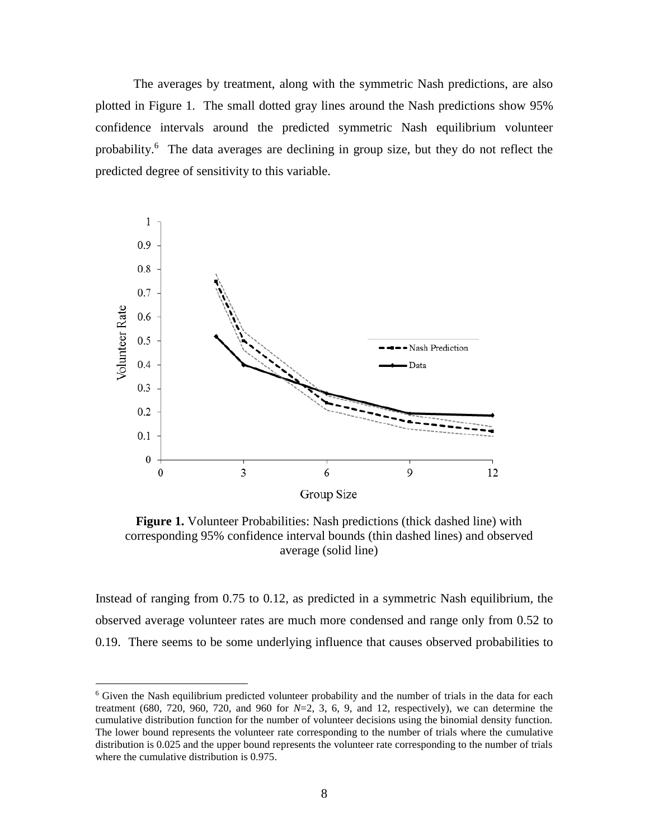The averages by treatment, along with the symmetric Nash predictions, are also plotted in Figure 1. The small dotted gray lines around the Nash predictions show 95% confidence intervals around the predicted symmetric Nash equilibrium volunteer probability.<sup>6</sup> The data averages are declining in group size, but they do not reflect the predicted degree of sensitivity to this variable.



**Figure 1.** Volunteer Probabilities: Nash predictions (thick dashed line) with corresponding 95% confidence interval bounds (thin dashed lines) and observed average (solid line)

Instead of ranging from 0.75 to 0.12, as predicted in a symmetric Nash equilibrium, the observed average volunteer rates are much more condensed and range only from 0.52 to 0.19. There seems to be some underlying influence that causes observed probabilities to

 $6$  Given the Nash equilibrium predicted volunteer probability and the number of trials in the data for each treatment (680, 720, 960, 720, and 960 for *N*=2, 3, 6, 9, and 12, respectively), we can determine the cumulative distribution function for the number of volunteer decisions using the binomial density function. The lower bound represents the volunteer rate corresponding to the number of trials where the cumulative distribution is 0.025 and the upper bound represents the volunteer rate corresponding to the number of trials where the cumulative distribution is 0.975.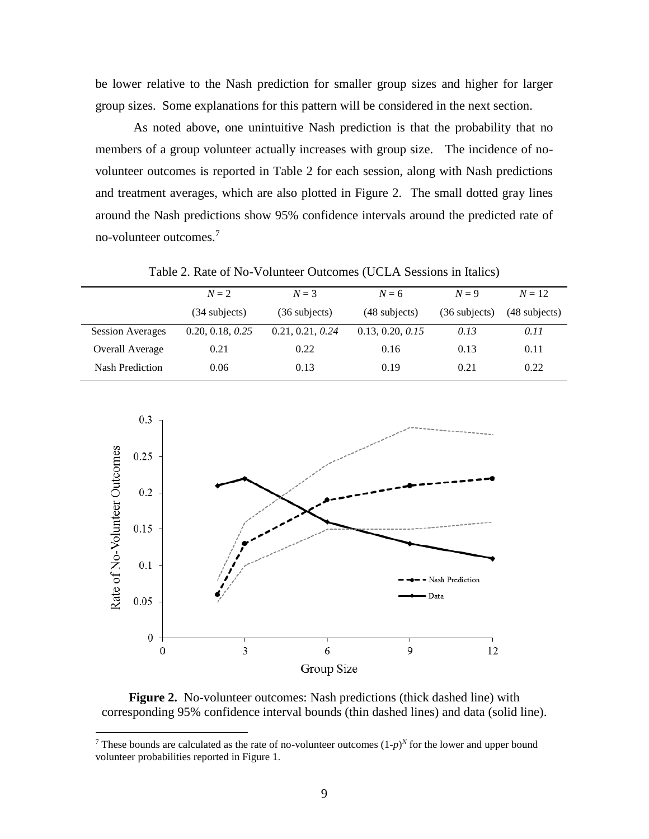be lower relative to the Nash prediction for smaller group sizes and higher for larger group sizes. Some explanations for this pattern will be considered in the next section.

As noted above, one unintuitive Nash prediction is that the probability that no members of a group volunteer actually increases with group size. The incidence of novolunteer outcomes is reported in Table 2 for each session, along with Nash predictions and treatment averages, which are also plotted in Figure 2. The small dotted gray lines around the Nash predictions show 95% confidence intervals around the predicted rate of no-volunteer outcomes.<sup>7</sup>

Table 2. Rate of No-Volunteer Outcomes (UCLA Sessions in Italics)

|                         | $N=2$            | $N=3$            | $N = 6$                 | $N=9$           | $N=12$                  |
|-------------------------|------------------|------------------|-------------------------|-----------------|-------------------------|
|                         | (34 subjects)    | $(36$ subjects)  | $(48 \text{ subjects})$ | $(36$ subjects) | $(48 \text{ subjects})$ |
| <b>Session Averages</b> | 0.20, 0.18, 0.25 | 0.21, 0.21, 0.24 | 0.13, 0.20, 0.15        | 0.13            | 0.11                    |
| Overall Average         | 0.21             | 0.22             | 0.16                    | 0.13            | 0.11                    |
| Nash Prediction         | 0.06             | 0.13             | 0.19                    | 0.21            | 0.22                    |



**Figure 2.** No-volunteer outcomes: Nash predictions (thick dashed line) with corresponding 95% confidence interval bounds (thin dashed lines) and data (solid line).

<sup>&</sup>lt;sup>7</sup> These bounds are calculated as the rate of no-volunteer outcomes  $(1-p)^N$  for the lower and upper bound volunteer probabilities reported in Figure 1.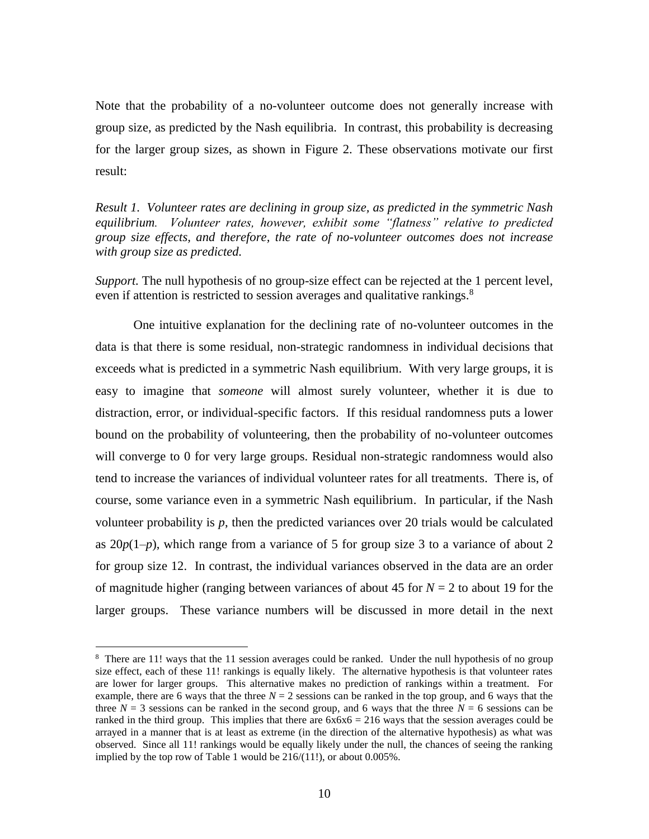Note that the probability of a no-volunteer outcome does not generally increase with group size, as predicted by the Nash equilibria. In contrast, this probability is decreasing for the larger group sizes, as shown in Figure 2. These observations motivate our first result:

*Result 1. Volunteer rates are declining in group size, as predicted in the symmetric Nash equilibrium. Volunteer rates, however, exhibit some "flatness" relative to predicted group size effects, and therefore, the rate of no-volunteer outcomes does not increase with group size as predicted.* 

*Support.* The null hypothesis of no group-size effect can be rejected at the 1 percent level, even if attention is restricted to session averages and qualitative rankings.<sup>8</sup>

One intuitive explanation for the declining rate of no-volunteer outcomes in the data is that there is some residual, non-strategic randomness in individual decisions that exceeds what is predicted in a symmetric Nash equilibrium. With very large groups, it is easy to imagine that *someone* will almost surely volunteer, whether it is due to distraction, error, or individual-specific factors. If this residual randomness puts a lower bound on the probability of volunteering, then the probability of no-volunteer outcomes will converge to 0 for very large groups. Residual non-strategic randomness would also tend to increase the variances of individual volunteer rates for all treatments. There is, of course, some variance even in a symmetric Nash equilibrium. In particular, if the Nash volunteer probability is *p*, then the predicted variances over 20 trials would be calculated as  $20p(1-p)$ , which range from a variance of 5 for group size 3 to a variance of about 2 for group size 12. In contrast, the individual variances observed in the data are an order of magnitude higher (ranging between variances of about 45 for  $N = 2$  to about 19 for the larger groups. These variance numbers will be discussed in more detail in the next

<sup>&</sup>lt;sup>8</sup> There are 11! ways that the 11 session averages could be ranked. Under the null hypothesis of no group size effect, each of these 11! rankings is equally likely. The alternative hypothesis is that volunteer rates are lower for larger groups. This alternative makes no prediction of rankings within a treatment. For example, there are 6 ways that the three  $N = 2$  sessions can be ranked in the top group, and 6 ways that the three  $N = 3$  sessions can be ranked in the second group, and 6 ways that the three  $N = 6$  sessions can be ranked in the third group. This implies that there are  $6x6x6 = 216$  ways that the session averages could be arrayed in a manner that is at least as extreme (in the direction of the alternative hypothesis) as what was observed. Since all 11! rankings would be equally likely under the null, the chances of seeing the ranking implied by the top row of Table 1 would be 216/(11!), or about 0.005%.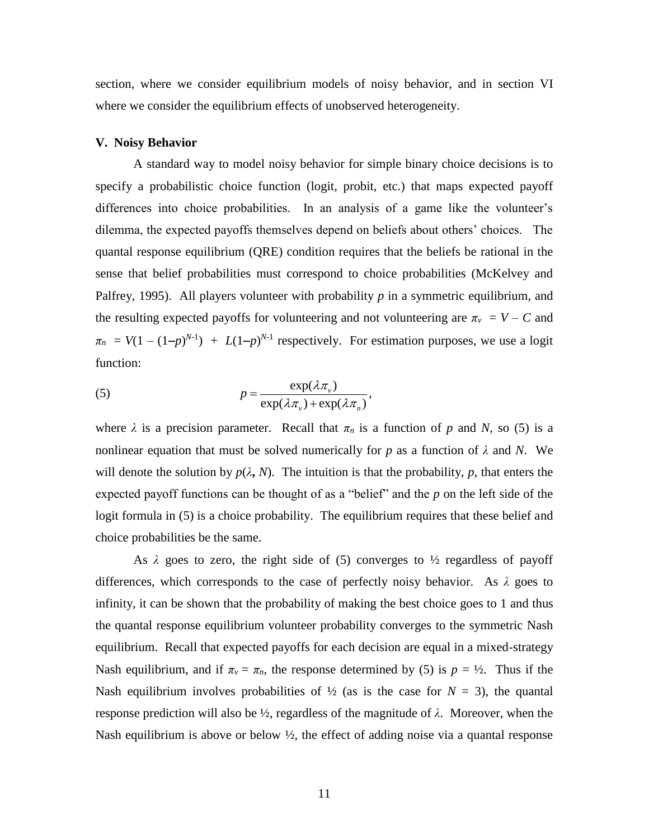section, where we consider equilibrium models of noisy behavior, and in section VI where we consider the equilibrium effects of unobserved heterogeneity.

#### **V. Noisy Behavior**

A standard way to model noisy behavior for simple binary choice decisions is to specify a probabilistic choice function (logit, probit, etc.) that maps expected payoff differences into choice probabilities. In an analysis of a game like the volunteer's dilemma, the expected payoffs themselves depend on beliefs about others' choices. The quantal response equilibrium (QRE) condition requires that the beliefs be rational in the sense that belief probabilities must correspond to choice probabilities (McKelvey and Palfrey, 1995). All players volunteer with probability *p* in a symmetric equilibrium, and the resulting expected payoffs for volunteering and not volunteering are  $\pi$ <sup>*v*</sup> = *V* – *C* and  $\pi_n = V(1 - (1-p)^{N-1}) + L(1-p)^{N-1}$  respectively. For estimation purposes, we use a logit function:

(5) 
$$
p = \frac{\exp(\lambda \pi_v)}{\exp(\lambda \pi_v) + \exp(\lambda \pi_n)},
$$

where  $\lambda$  is a precision parameter. Recall that  $\pi_n$  is a function of  $p$  and  $N$ , so (5) is a nonlinear equation that must be solved numerically for *p* as a function of  $\lambda$  and *N*. We will denote the solution by  $p(\lambda, N)$ . The intuition is that the probability, p, that enters the expected payoff functions can be thought of as a "belief" and the *p* on the left side of the logit formula in (5) is a choice probability. The equilibrium requires that these belief and choice probabilities be the same.

As  $\lambda$  goes to zero, the right side of (5) converges to  $\frac{1}{2}$  regardless of payoff differences, which corresponds to the case of perfectly noisy behavior. As *λ* goes to infinity, it can be shown that the probability of making the best choice goes to 1 and thus the quantal response equilibrium volunteer probability converges to the symmetric Nash equilibrium. Recall that expected payoffs for each decision are equal in a mixed-strategy Nash equilibrium, and if  $\pi_v = \pi_n$ , the response determined by (5) is  $p = \frac{1}{2}$ . Thus if the Nash equilibrium involves probabilities of  $\frac{1}{2}$  (as is the case for  $N = 3$ ), the quantal response prediction will also be ½, regardless of the magnitude of *λ*. Moreover, when the Nash equilibrium is above or below  $\frac{1}{2}$ , the effect of adding noise via a quantal response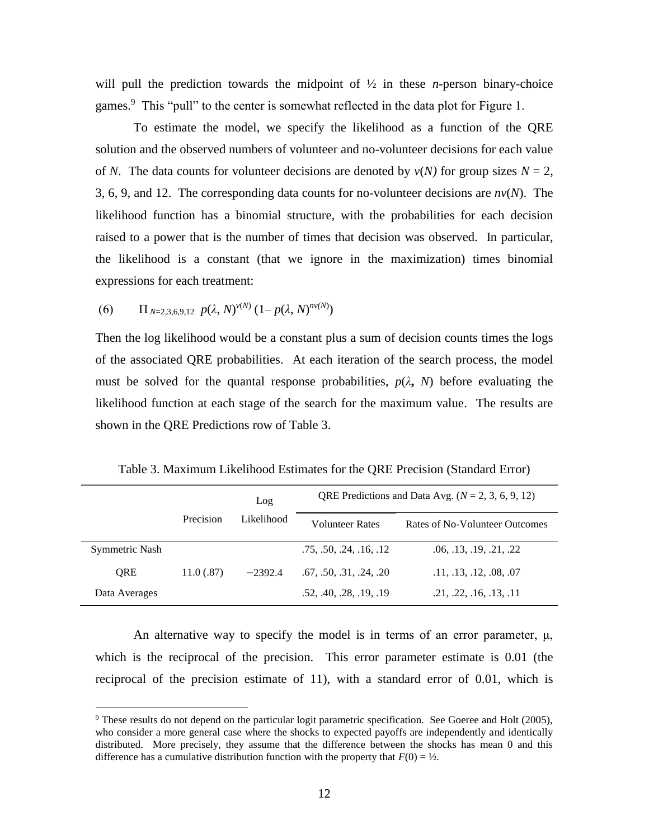will pull the prediction towards the midpoint of  $\frac{1}{2}$  in these *n*-person binary-choice games.<sup>9</sup> This "pull" to the center is somewhat reflected in the data plot for Figure 1.

To estimate the model, we specify the likelihood as a function of the QRE solution and the observed numbers of volunteer and no-volunteer decisions for each value of *N*. The data counts for volunteer decisions are denoted by  $v(N)$  for group sizes  $N = 2$ , 3, 6, 9, and 12. The corresponding data counts for no-volunteer decisions are *nv*(*N*). The likelihood function has a binomial structure, with the probabilities for each decision raised to a power that is the number of times that decision was observed. In particular, the likelihood is a constant (that we ignore in the maximization) times binomial expressions for each treatment:

(6)  $\Pi_{N=2,3,6,9,12} p(\lambda, N)^{v(N)} (1-p(\lambda, N)^{nv(N)})$ 

 $\overline{a}$ 

Then the log likelihood would be a constant plus a sum of decision counts times the logs of the associated QRE probabilities. At each iteration of the search process, the model must be solved for the quantal response probabilities,  $p(\lambda, N)$  before evaluating the likelihood function at each stage of the search for the maximum value. The results are shown in the QRE Predictions row of Table 3.

|                |            | Log                                  | QRE Predictions and Data Avg. $(N = 2, 3, 6, 9, 12)$ |                                |  |
|----------------|------------|--------------------------------------|------------------------------------------------------|--------------------------------|--|
|                | Precision  | Likelihood<br><b>Volunteer Rates</b> |                                                      | Rates of No-Volunteer Outcomes |  |
| Symmetric Nash |            |                                      | .75, .50, .24, .16, .12                              | .06, .13, .19, .21, .22        |  |
| <b>ORE</b>     | 11.0(0.87) | $-2392.4$                            | .67, .50, .31, .24, .20                              | .11, .13, .12, .08, .07        |  |
| Data Averages  |            |                                      | .52, .40, .28, .19, .19                              | .21, .22, .16, .13, .11        |  |

Table 3. Maximum Likelihood Estimates for the QRE Precision (Standard Error)

An alternative way to specify the model is in terms of an error parameter, μ, which is the reciprocal of the precision. This error parameter estimate is 0.01 (the reciprocal of the precision estimate of 11), with a standard error of 0.01, which is

<sup>&</sup>lt;sup>9</sup> These results do not depend on the particular logit parametric specification. See Goeree and Holt (2005), who consider a more general case where the shocks to expected payoffs are independently and identically distributed. More precisely, they assume that the difference between the shocks has mean 0 and this difference has a cumulative distribution function with the property that  $F(0) = \frac{1}{2}$ .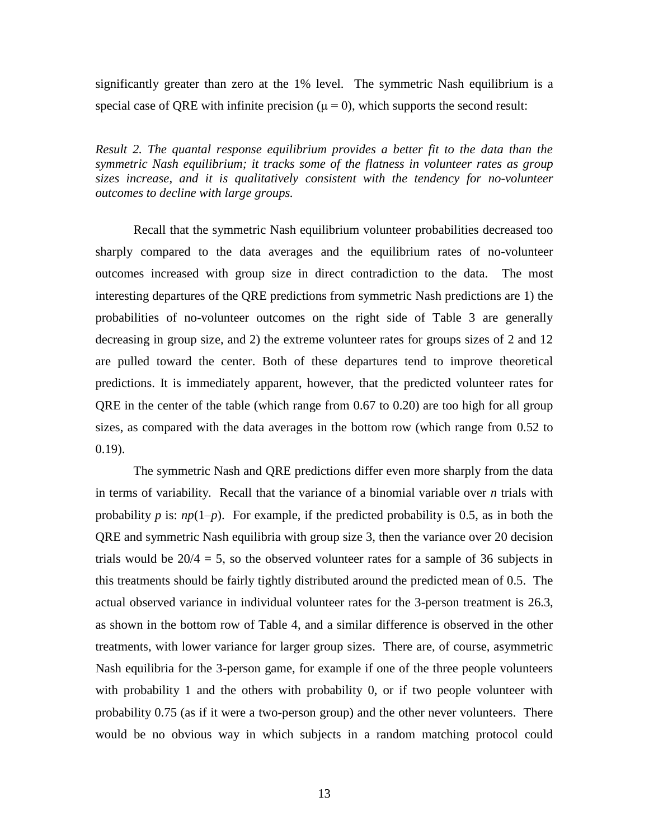significantly greater than zero at the 1% level. The symmetric Nash equilibrium is a special case of QRE with infinite precision  $(\mu = 0)$ , which supports the second result:

*Result 2. The quantal response equilibrium provides a better fit to the data than the symmetric Nash equilibrium; it tracks some of the flatness in volunteer rates as group sizes increase, and it is qualitatively consistent with the tendency for no-volunteer outcomes to decline with large groups.* 

Recall that the symmetric Nash equilibrium volunteer probabilities decreased too sharply compared to the data averages and the equilibrium rates of no-volunteer outcomes increased with group size in direct contradiction to the data. The most interesting departures of the QRE predictions from symmetric Nash predictions are 1) the probabilities of no-volunteer outcomes on the right side of Table 3 are generally decreasing in group size, and 2) the extreme volunteer rates for groups sizes of 2 and 12 are pulled toward the center. Both of these departures tend to improve theoretical predictions. It is immediately apparent, however, that the predicted volunteer rates for QRE in the center of the table (which range from 0.67 to 0.20) are too high for all group sizes, as compared with the data averages in the bottom row (which range from 0.52 to 0.19).

The symmetric Nash and QRE predictions differ even more sharply from the data in terms of variability. Recall that the variance of a binomial variable over *n* trials with probability *p* is:  $np(1-p)$ . For example, if the predicted probability is 0.5, as in both the QRE and symmetric Nash equilibria with group size 3, then the variance over 20 decision trials would be  $20/4 = 5$ , so the observed volunteer rates for a sample of 36 subjects in this treatments should be fairly tightly distributed around the predicted mean of 0.5. The actual observed variance in individual volunteer rates for the 3-person treatment is 26.3, as shown in the bottom row of Table 4, and a similar difference is observed in the other treatments, with lower variance for larger group sizes. There are, of course, asymmetric Nash equilibria for the 3-person game, for example if one of the three people volunteers with probability 1 and the others with probability 0, or if two people volunteer with probability 0.75 (as if it were a two-person group) and the other never volunteers. There would be no obvious way in which subjects in a random matching protocol could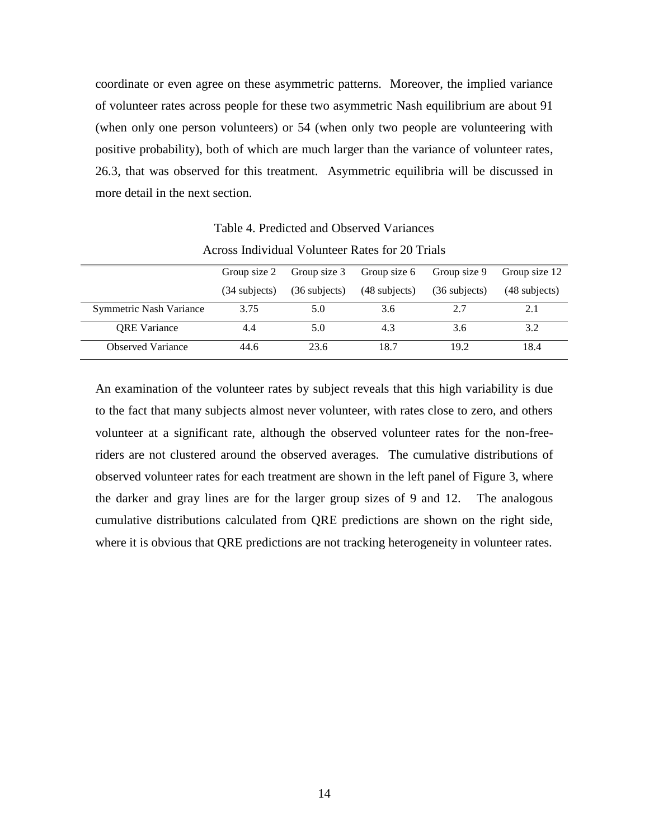coordinate or even agree on these asymmetric patterns. Moreover, the implied variance of volunteer rates across people for these two asymmetric Nash equilibrium are about 91 (when only one person volunteers) or 54 (when only two people are volunteering with positive probability), both of which are much larger than the variance of volunteer rates, 26.3, that was observed for this treatment. Asymmetric equilibria will be discussed in more detail in the next section.

|                          | Group size 2    |                 | Group size 3 Group size 6 | Group size 9    | Group size 12           |
|--------------------------|-----------------|-----------------|---------------------------|-----------------|-------------------------|
|                          | $(34$ subjects) | $(36$ subjects) | $(48 \text{ subjects})$   | $(36$ subjects) | $(48 \text{ subjects})$ |
| Symmetric Nash Variance  | 3.75            | 5.0             | 3.6                       | 2.7             |                         |
| <b>QRE</b> Variance      | 4.4             | 5.0             | 4.3                       | 3.6             |                         |
| <b>Observed Variance</b> | 44.6            | 23.6            | 18.7                      | 19.2            | 18.4                    |

Table 4. Predicted and Observed Variances Across Individual Volunteer Rates for 20 Trials

An examination of the volunteer rates by subject reveals that this high variability is due to the fact that many subjects almost never volunteer, with rates close to zero, and others volunteer at a significant rate, although the observed volunteer rates for the non-freeriders are not clustered around the observed averages. The cumulative distributions of observed volunteer rates for each treatment are shown in the left panel of Figure 3, where the darker and gray lines are for the larger group sizes of 9 and 12. The analogous cumulative distributions calculated from QRE predictions are shown on the right side, where it is obvious that QRE predictions are not tracking heterogeneity in volunteer rates.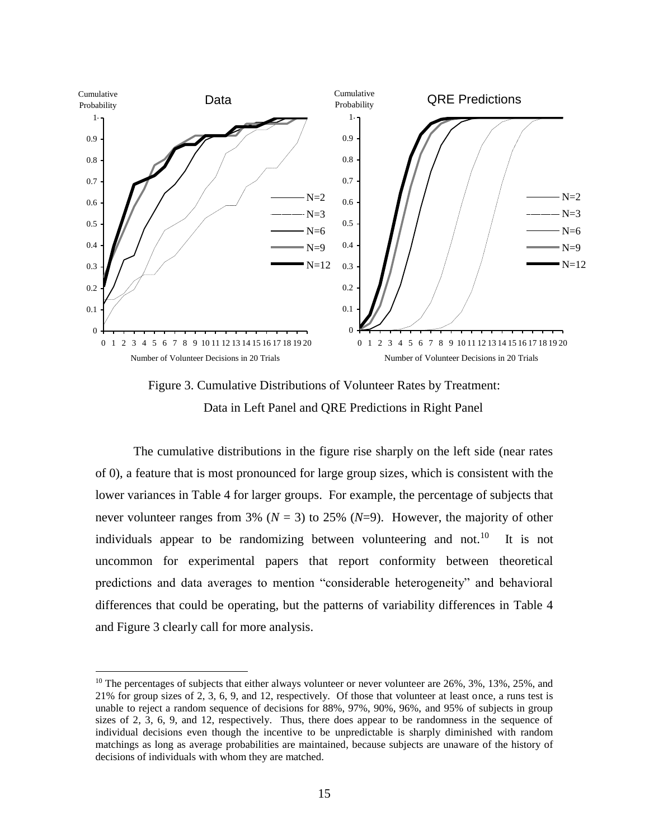

Figure 3. Cumulative Distributions of Volunteer Rates by Treatment: Data in Left Panel and QRE Predictions in Right Panel

The cumulative distributions in the figure rise sharply on the left side (near rates of 0), a feature that is most pronounced for large group sizes, which is consistent with the lower variances in Table 4 for larger groups. For example, the percentage of subjects that never volunteer ranges from 3% ( $N = 3$ ) to 25% ( $N=9$ ). However, the majority of other individuals appear to be randomizing between volunteering and not.<sup>10</sup> It is not uncommon for experimental papers that report conformity between theoretical predictions and data averages to mention "considerable heterogeneity" and behavioral differences that could be operating, but the patterns of variability differences in Table 4 and Figure 3 clearly call for more analysis.

<sup>&</sup>lt;sup>10</sup> The percentages of subjects that either always volunteer or never volunteer are 26%, 3%, 13%, 25%, and 21% for group sizes of 2, 3, 6, 9, and 12, respectively. Of those that volunteer at least once, a runs test is unable to reject a random sequence of decisions for 88%, 97%, 90%, 96%, and 95% of subjects in group sizes of 2, 3, 6, 9, and 12, respectively. Thus, there does appear to be randomness in the sequence of individual decisions even though the incentive to be unpredictable is sharply diminished with random matchings as long as average probabilities are maintained, because subjects are unaware of the history of decisions of individuals with whom they are matched.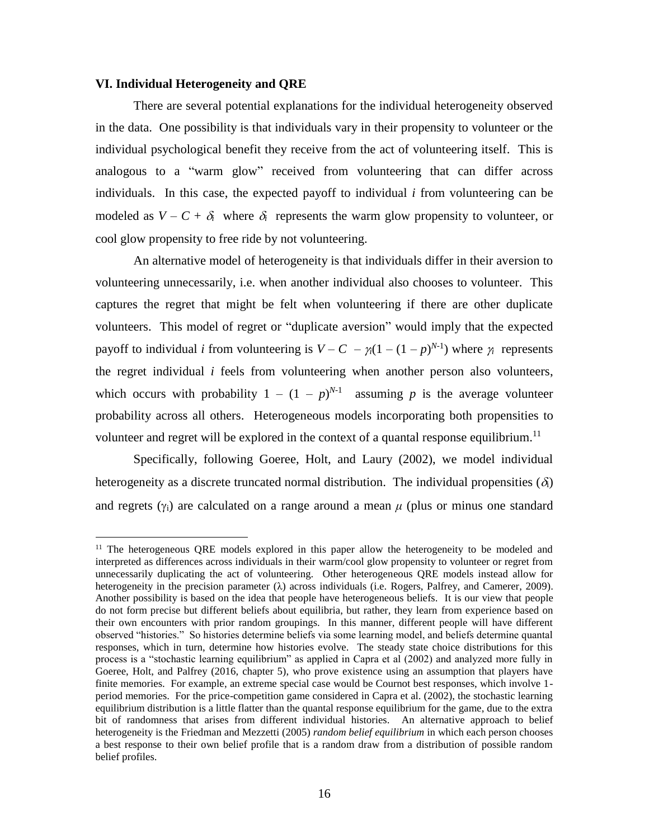#### **VI. Individual Heterogeneity and QRE**

 $\overline{a}$ 

There are several potential explanations for the individual heterogeneity observed in the data. One possibility is that individuals vary in their propensity to volunteer or the individual psychological benefit they receive from the act of volunteering itself. This is analogous to a "warm glow" received from volunteering that can differ across individuals. In this case, the expected payoff to individual *i* from volunteering can be modeled as  $V - C + \delta_i$  where  $\delta_i$  represents the warm glow propensity to volunteer, or cool glow propensity to free ride by not volunteering.

An alternative model of heterogeneity is that individuals differ in their aversion to volunteering unnecessarily, i.e. when another individual also chooses to volunteer. This captures the regret that might be felt when volunteering if there are other duplicate volunteers. This model of regret or "duplicate aversion" would imply that the expected payoff to individual *i* from volunteering is  $V - C - \gamma_1(1 - (1 - p)^{N-1})$  where  $\gamma_i$  represents the regret individual *i* feels from volunteering when another person also volunteers, which occurs with probability  $1 - (1 - p)^{N-1}$  assuming p is the average volunteer probability across all others. Heterogeneous models incorporating both propensities to volunteer and regret will be explored in the context of a quantal response equilibrium.<sup>11</sup>

Specifically, following Goeree, Holt, and Laury (2002), we model individual heterogeneity as a discrete truncated normal distribution. The individual propensities  $(\delta_i)$ and regrets  $(\gamma_i)$  are calculated on a range around a mean  $\mu$  (plus or minus one standard

<sup>&</sup>lt;sup>11</sup> The heterogeneous QRE models explored in this paper allow the heterogeneity to be modeled and interpreted as differences across individuals in their warm/cool glow propensity to volunteer or regret from unnecessarily duplicating the act of volunteering. Other heterogeneous QRE models instead allow for heterogeneity in the precision parameter  $(\lambda)$  across individuals (i.e. Rogers, Palfrey, and Camerer, 2009). Another possibility is based on the idea that people have heterogeneous beliefs. It is our view that people do not form precise but different beliefs about equilibria, but rather, they learn from experience based on their own encounters with prior random groupings. In this manner, different people will have different observed "histories." So histories determine beliefs via some learning model, and beliefs determine quantal responses, which in turn, determine how histories evolve. The steady state choice distributions for this process is a "stochastic learning equilibrium" as applied in Capra et al (2002) and analyzed more fully in Goeree, Holt, and Palfrey (2016, chapter 5), who prove existence using an assumption that players have finite memories. For example, an extreme special case would be Cournot best responses, which involve 1 period memories. For the price-competition game considered in Capra et al. (2002), the stochastic learning equilibrium distribution is a little flatter than the quantal response equilibrium for the game, due to the extra bit of randomness that arises from different individual histories. An alternative approach to belief heterogeneity is the Friedman and Mezzetti (2005) *random belief equilibrium* in which each person chooses a best response to their own belief profile that is a random draw from a distribution of possible random belief profiles.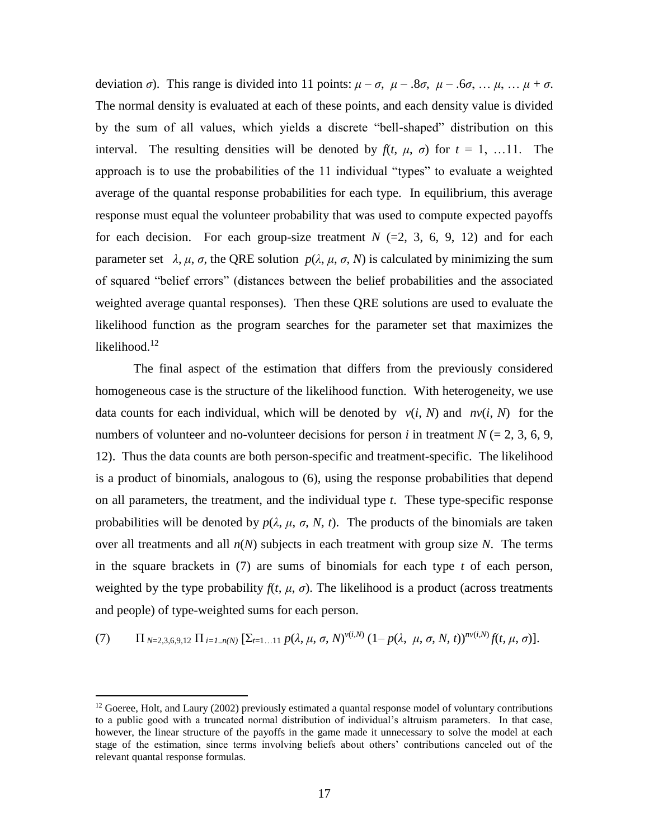deviation *σ*). This range is divided into 11 points:  $\mu - \sigma$ ,  $\mu - .8\sigma$ ,  $\mu - .6\sigma$ , ...  $\mu$ , ...  $\mu + \sigma$ . The normal density is evaluated at each of these points, and each density value is divided by the sum of all values, which yields a discrete "bell-shaped" distribution on this interval. The resulting densities will be denoted by  $f(t, \mu, \sigma)$  for  $t = 1, \dots 11$ . The approach is to use the probabilities of the 11 individual "types" to evaluate a weighted average of the quantal response probabilities for each type. In equilibrium, this average response must equal the volunteer probability that was used to compute expected payoffs for each decision. For each group-size treatment  $N$  (=2, 3, 6, 9, 12) and for each parameter set  $\lambda$ ,  $\mu$ ,  $\sigma$ , the QRE solution  $p(\lambda, \mu, \sigma, N)$  is calculated by minimizing the sum of squared "belief errors" (distances between the belief probabilities and the associated weighted average quantal responses). Then these QRE solutions are used to evaluate the likelihood function as the program searches for the parameter set that maximizes the likelihood.<sup>12</sup>

The final aspect of the estimation that differs from the previously considered homogeneous case is the structure of the likelihood function. With heterogeneity, we use data counts for each individual, which will be denoted by  $v(i, N)$  and  $nv(i, N)$  for the numbers of volunteer and no-volunteer decisions for person *i* in treatment  $N (= 2, 3, 6, 9, 1)$ 12). Thus the data counts are both person-specific and treatment-specific. The likelihood is a product of binomials, analogous to (6), using the response probabilities that depend on all parameters, the treatment, and the individual type *t*. These type-specific response probabilities will be denoted by  $p(\lambda, \mu, \sigma, N, t)$ . The products of the binomials are taken over all treatments and all *n*(*N*) subjects in each treatment with group size *N*. The terms in the square brackets in (7) are sums of binomials for each type *t* of each person, weighted by the type probability  $f(t, \mu, \sigma)$ . The likelihood is a product (across treatments and people) of type-weighted sums for each person.

(7) 
$$
\Pi_{N=2,3,6,9,12} \Pi_{i=1..n(N)} [\Sigma_{t=1...11} p(\lambda,\mu,\sigma,N)^{v(i,N)} (1-p(\lambda,\mu,\sigma,N,t))^{nv(i,N)} f(t,\mu,\sigma)].
$$

 $12$  Goeree, Holt, and Laury (2002) previously estimated a quantal response model of voluntary contributions to a public good with a truncated normal distribution of individual's altruism parameters. In that case, however, the linear structure of the payoffs in the game made it unnecessary to solve the model at each stage of the estimation, since terms involving beliefs about others' contributions canceled out of the relevant quantal response formulas.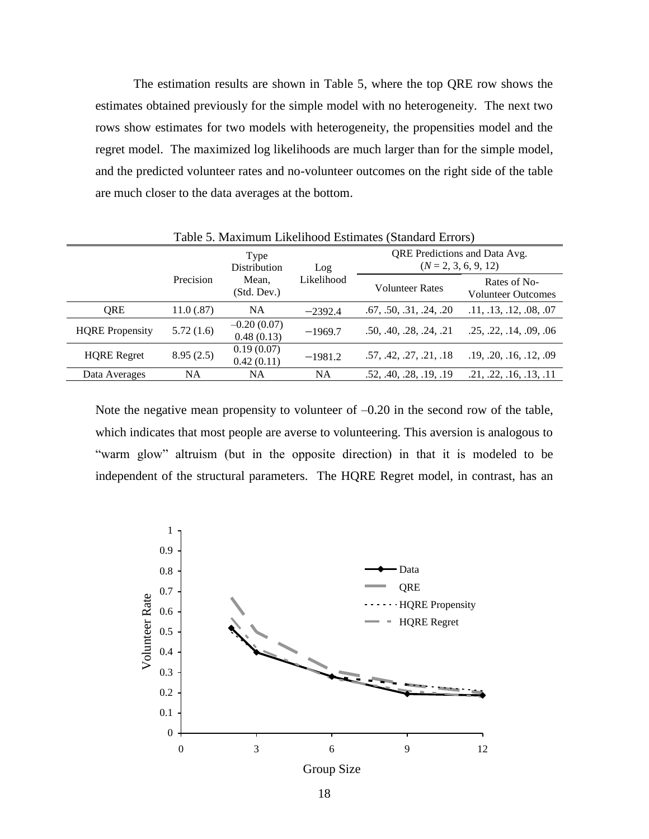The estimation results are shown in Table 5, where the top QRE row shows the estimates obtained previously for the simple model with no heterogeneity. The next two rows show estimates for two models with heterogeneity, the propensities model and the regret model. The maximized log likelihoods are much larger than for the simple model, and the predicted volunteer rates and no-volunteer outcomes on the right side of the table are much closer to the data averages at the bottom.

| Table 5. Maximum Likelihood Estimates (Standard Errors) |            |                             |            |                                                         |                                           |  |  |
|---------------------------------------------------------|------------|-----------------------------|------------|---------------------------------------------------------|-------------------------------------------|--|--|
|                                                         |            | Type<br>Distribution        | Log        | QRE Predictions and Data Avg.<br>$(N = 2, 3, 6, 9, 12)$ |                                           |  |  |
|                                                         | Precision  | Mean,<br>(Std. Dev.)        | Likelihood | <b>Volunteer Rates</b>                                  | Rates of No-<br><b>Volunteer Outcomes</b> |  |  |
| <b>ORE</b>                                              | 11.0(0.87) | NA                          | $-2392.4$  | .67, .50, .31, .24, .20                                 | .11, .13, .12, .08, .07                   |  |  |
| <b>HQRE</b> Propensity                                  | 5.72(1.6)  | $-0.20(0.07)$<br>0.48(0.13) | $-1969.7$  | .50, .40, .28, .24, .21                                 | .25, .22, .14, .09, .06                   |  |  |
| <b>HQRE</b> Regret                                      | 8.95(2.5)  | 0.19(0.07)<br>0.42(0.11)    | $-1981.2$  | .57, .42, .27, .21, .18                                 | .19, .20, .16, .12, .09                   |  |  |
| Data Averages                                           | NA         | NA                          | NA         | .52, .40, .28, .19, .19                                 | .21, .22, .16, .13, .11                   |  |  |

Table 5. Maximum Likelihood Estimates (Standard Errors)

Note the negative mean propensity to volunteer of  $-0.20$  in the second row of the table, which indicates that most people are averse to volunteering. This aversion is analogous to "warm glow" altruism (but in the opposite direction) in that it is modeled to be independent of the structural parameters. The HQRE Regret model, in contrast, has an

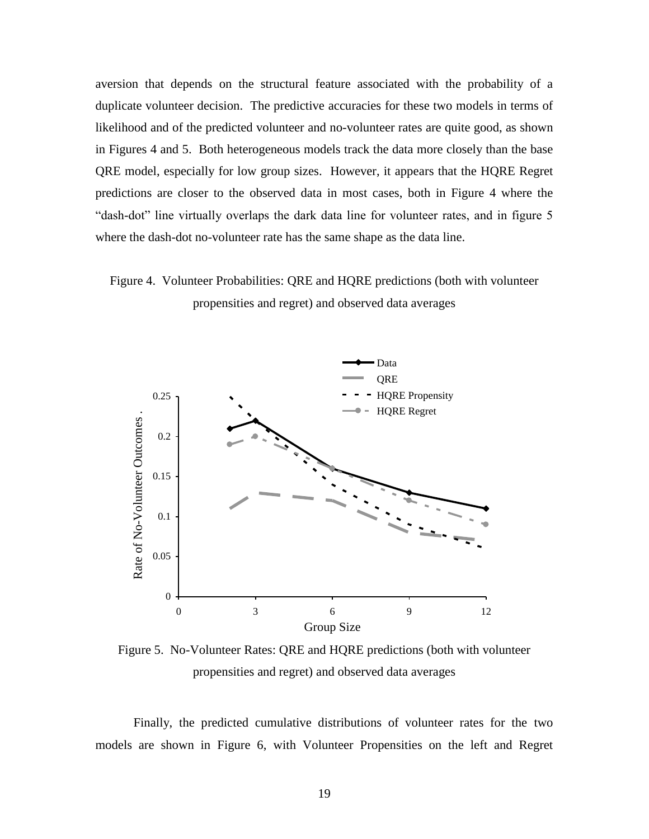aversion that depends on the structural feature associated with the probability of a duplicate volunteer decision. The predictive accuracies for these two models in terms of likelihood and of the predicted volunteer and no-volunteer rates are quite good, as shown in Figures 4 and 5. Both heterogeneous models track the data more closely than the base QRE model, especially for low group sizes. However, it appears that the HQRE Regret predictions are closer to the observed data in most cases, both in Figure 4 where the "dash-dot" line virtually overlaps the dark data line for volunteer rates, and in figure 5 where the dash-dot no-volunteer rate has the same shape as the data line.

Figure 4. Volunteer Probabilities: QRE and HQRE predictions (both with volunteer propensities and regret) and observed data averages



Figure 5. No-Volunteer Rates: QRE and HQRE predictions (both with volunteer propensities and regret) and observed data averages

Finally, the predicted cumulative distributions of volunteer rates for the two models are shown in Figure 6, with Volunteer Propensities on the left and Regret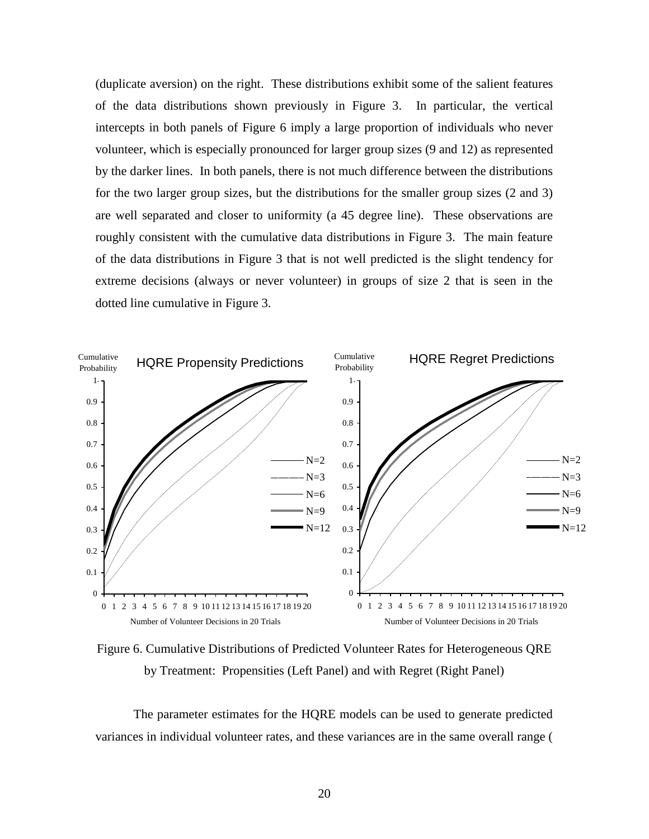(duplicate aversion) on the right. These distributions exhibit some of the salient features of the data distributions shown previously in Figure 3. In particular, the vertical intercepts in both panels of Figure 6 imply a large proportion of individuals who never volunteer, which is especially pronounced for larger group sizes (9 and 12) as represented by the darker lines. In both panels, there is not much difference between the distributions for the two larger group sizes, but the distributions for the smaller group sizes (2 and 3) are well separated and closer to uniformity (a 45 degree line). These observations are roughly consistent with the cumulative data distributions in Figure 3. The main feature of the data distributions in Figure 3 that is not well predicted is the slight tendency for extreme decisions (always or never volunteer) in groups of size 2 that is seen in the dotted line cumulative in Figure 3.



Figure 6. Cumulative Distributions of Predicted Volunteer Rates for Heterogeneous QRE by Treatment: Propensities (Left Panel) and with Regret (Right Panel)

The parameter estimates for the HQRE models can be used to generate predicted variances in individual volunteer rates, and these variances are in the same overall range (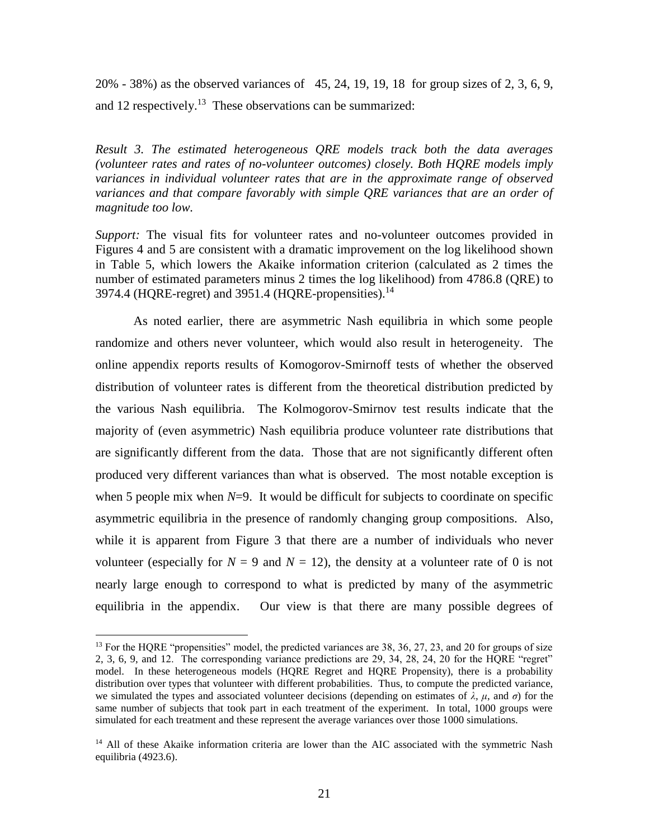20% - 38%) as the observed variances of 45, 24, 19, 19, 18 for group sizes of 2, 3, 6, 9, and 12 respectively.<sup>13</sup> These observations can be summarized:

*Result 3. The estimated heterogeneous QRE models track both the data averages (volunteer rates and rates of no-volunteer outcomes) closely. Both HQRE models imply variances in individual volunteer rates that are in the approximate range of observed variances and that compare favorably with simple ORE variances that are an order of magnitude too low.* 

*Support:* The visual fits for volunteer rates and no-volunteer outcomes provided in Figures 4 and 5 are consistent with a dramatic improvement on the log likelihood shown in Table 5, which lowers the Akaike information criterion (calculated as 2 times the number of estimated parameters minus 2 times the log likelihood) from 4786.8 (QRE) to 3974.4 (HQRE-regret) and 3951.4 (HQRE-propensities).<sup>14</sup>

As noted earlier, there are asymmetric Nash equilibria in which some people randomize and others never volunteer, which would also result in heterogeneity. The online appendix reports results of Komogorov-Smirnoff tests of whether the observed distribution of volunteer rates is different from the theoretical distribution predicted by the various Nash equilibria. The Kolmogorov-Smirnov test results indicate that the majority of (even asymmetric) Nash equilibria produce volunteer rate distributions that are significantly different from the data. Those that are not significantly different often produced very different variances than what is observed. The most notable exception is when 5 people mix when  $N=9$ . It would be difficult for subjects to coordinate on specific asymmetric equilibria in the presence of randomly changing group compositions. Also, while it is apparent from Figure 3 that there are a number of individuals who never volunteer (especially for  $N = 9$  and  $N = 12$ ), the density at a volunteer rate of 0 is not nearly large enough to correspond to what is predicted by many of the asymmetric equilibria in the appendix. Our view is that there are many possible degrees of

<sup>&</sup>lt;sup>13</sup> For the HQRE "propensities" model, the predicted variances are 38, 36, 27, 23, and 20 for groups of size 2, 3, 6, 9, and 12. The corresponding variance predictions are 29, 34, 28, 24, 20 for the HQRE "regret" model. In these heterogeneous models (HQRE Regret and HQRE Propensity), there is a probability distribution over types that volunteer with different probabilities. Thus, to compute the predicted variance, we simulated the types and associated volunteer decisions (depending on estimates of *λ, μ*, and *σ*) for the same number of subjects that took part in each treatment of the experiment. In total, 1000 groups were simulated for each treatment and these represent the average variances over those 1000 simulations.

<sup>&</sup>lt;sup>14</sup> All of these Akaike information criteria are lower than the AIC associated with the symmetric Nash equilibria (4923.6).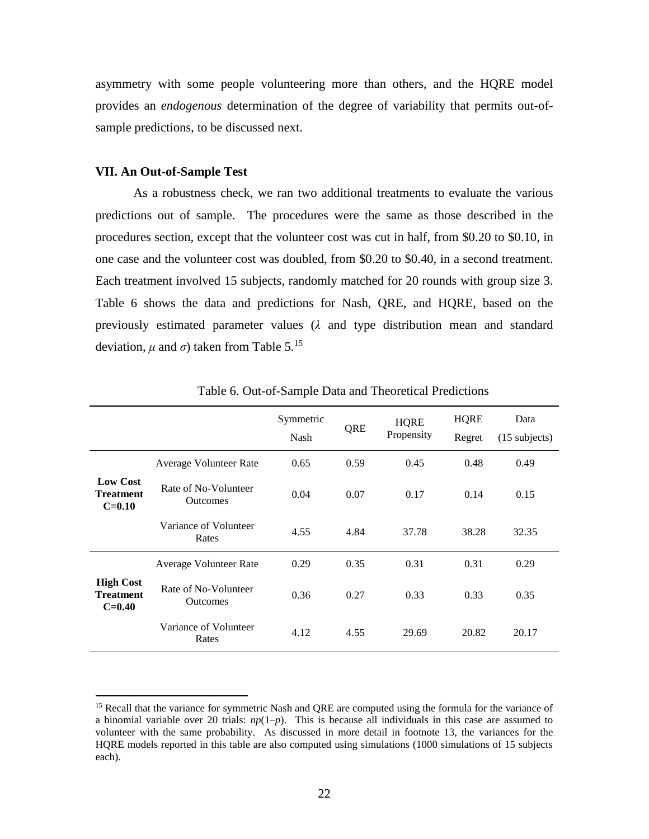asymmetry with some people volunteering more than others, and the HQRE model provides an *endogenous* determination of the degree of variability that permits out-ofsample predictions, to be discussed next.

#### **VII. An Out-of-Sample Test**

 $\overline{a}$ 

As a robustness check, we ran two additional treatments to evaluate the various predictions out of sample. The procedures were the same as those described in the procedures section, except that the volunteer cost was cut in half, from \$0.20 to \$0.10, in one case and the volunteer cost was doubled, from \$0.20 to \$0.40, in a second treatment. Each treatment involved 15 subjects, randomly matched for 20 rounds with group size 3. Table 6 shows the data and predictions for Nash, QRE, and HQRE, based on the previously estimated parameter values (*λ* and type distribution mean and standard deviation,  $\mu$  and  $\sigma$ ) taken from Table 5.<sup>15</sup>

|                                                    |                                         | Symmetric<br><b>Nash</b> | <b>QRE</b> | <b>HQRE</b><br>Propensity | <b>HQRE</b><br>Regret | Data<br>$(15 \text{ subjects})$ |
|----------------------------------------------------|-----------------------------------------|--------------------------|------------|---------------------------|-----------------------|---------------------------------|
|                                                    | Average Volunteer Rate                  | 0.65                     | 0.59       | 0.45                      | 0.48                  | 0.49                            |
| <b>Low Cost</b><br><b>Treatment</b><br>$C = 0.10$  | Rate of No-Volunteer<br><b>Outcomes</b> | 0.04                     | 0.07       | 0.17                      | 0.14                  | 0.15                            |
|                                                    | Variance of Volunteer<br>Rates          | 4.55                     | 4.84       | 37.78                     | 38.28                 | 32.35                           |
|                                                    | Average Volunteer Rate                  | 0.29                     | 0.35       | 0.31                      | 0.31                  | 0.29                            |
| <b>High Cost</b><br><b>Treatment</b><br>$C = 0.40$ | Rate of No-Volunteer<br><b>Outcomes</b> | 0.36                     | 0.27       | 0.33                      | 0.33                  | 0.35                            |
|                                                    | Variance of Volunteer<br>Rates          | 4.12                     | 4.55       | 29.69                     | 20.82                 | 20.17                           |

Table 6. Out-of-Sample Data and Theoretical Predictions

<sup>&</sup>lt;sup>15</sup> Recall that the variance for symmetric Nash and ORE are computed using the formula for the variance of a binomial variable over 20 trials:  $np(1-p)$ . This is because all individuals in this case are assumed to volunteer with the same probability. As discussed in more detail in footnote 13, the variances for the HQRE models reported in this table are also computed using simulations (1000 simulations of 15 subjects each).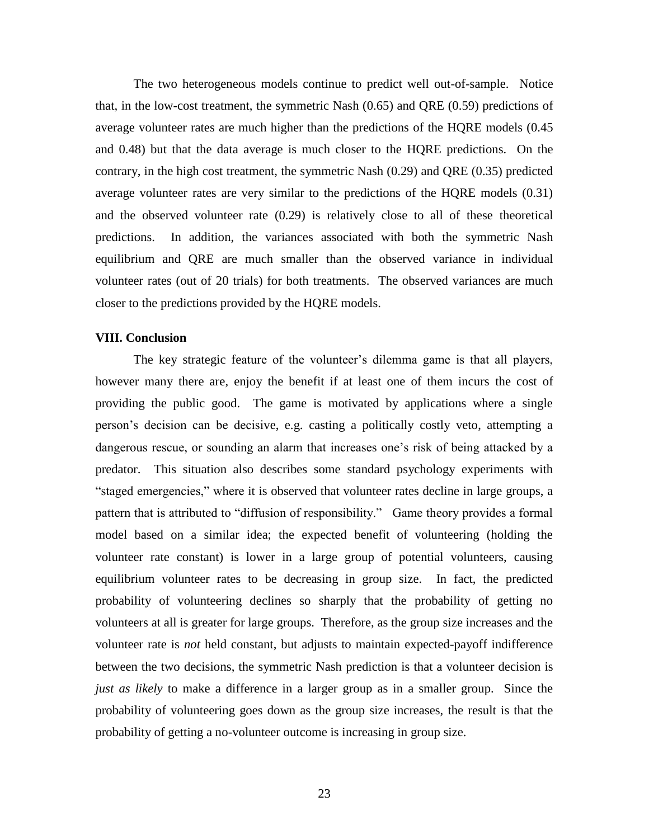The two heterogeneous models continue to predict well out-of-sample. Notice that, in the low-cost treatment, the symmetric Nash (0.65) and QRE (0.59) predictions of average volunteer rates are much higher than the predictions of the HQRE models (0.45 and 0.48) but that the data average is much closer to the HQRE predictions. On the contrary, in the high cost treatment, the symmetric Nash (0.29) and QRE (0.35) predicted average volunteer rates are very similar to the predictions of the HQRE models (0.31) and the observed volunteer rate (0.29) is relatively close to all of these theoretical predictions. In addition, the variances associated with both the symmetric Nash equilibrium and QRE are much smaller than the observed variance in individual volunteer rates (out of 20 trials) for both treatments. The observed variances are much closer to the predictions provided by the HQRE models.

#### **VIII. Conclusion**

The key strategic feature of the volunteer's dilemma game is that all players, however many there are, enjoy the benefit if at least one of them incurs the cost of providing the public good. The game is motivated by applications where a single person's decision can be decisive, e.g. casting a politically costly veto, attempting a dangerous rescue, or sounding an alarm that increases one's risk of being attacked by a predator. This situation also describes some standard psychology experiments with "staged emergencies," where it is observed that volunteer rates decline in large groups, a pattern that is attributed to "diffusion of responsibility." Game theory provides a formal model based on a similar idea; the expected benefit of volunteering (holding the volunteer rate constant) is lower in a large group of potential volunteers, causing equilibrium volunteer rates to be decreasing in group size. In fact, the predicted probability of volunteering declines so sharply that the probability of getting no volunteers at all is greater for large groups. Therefore, as the group size increases and the volunteer rate is *not* held constant, but adjusts to maintain expected-payoff indifference between the two decisions, the symmetric Nash prediction is that a volunteer decision is *just as likely* to make a difference in a larger group as in a smaller group. Since the probability of volunteering goes down as the group size increases, the result is that the probability of getting a no-volunteer outcome is increasing in group size.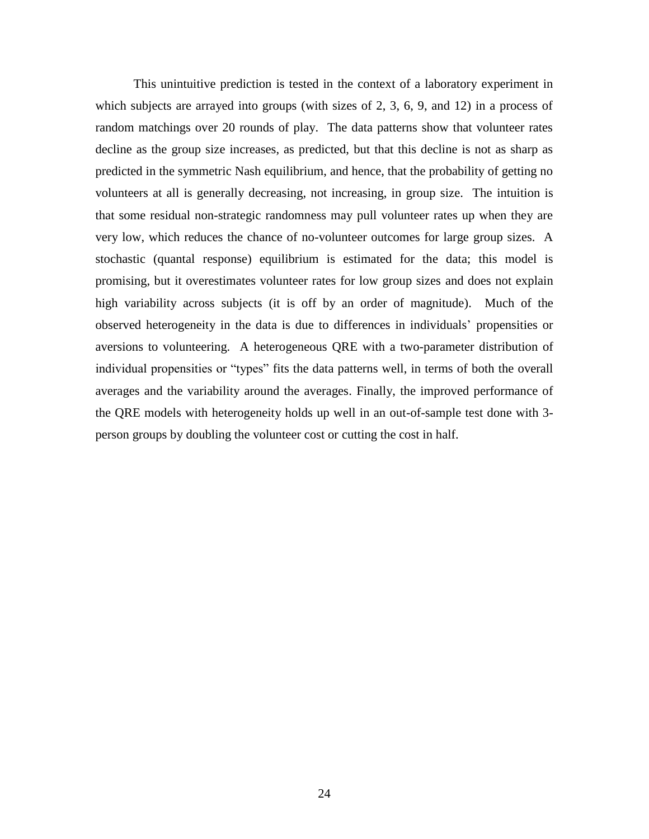This unintuitive prediction is tested in the context of a laboratory experiment in which subjects are arrayed into groups (with sizes of 2, 3, 6, 9, and 12) in a process of random matchings over 20 rounds of play. The data patterns show that volunteer rates decline as the group size increases, as predicted, but that this decline is not as sharp as predicted in the symmetric Nash equilibrium, and hence, that the probability of getting no volunteers at all is generally decreasing, not increasing, in group size. The intuition is that some residual non-strategic randomness may pull volunteer rates up when they are very low, which reduces the chance of no-volunteer outcomes for large group sizes. A stochastic (quantal response) equilibrium is estimated for the data; this model is promising, but it overestimates volunteer rates for low group sizes and does not explain high variability across subjects (it is off by an order of magnitude). Much of the observed heterogeneity in the data is due to differences in individuals' propensities or aversions to volunteering. A heterogeneous QRE with a two-parameter distribution of individual propensities or "types" fits the data patterns well, in terms of both the overall averages and the variability around the averages. Finally, the improved performance of the QRE models with heterogeneity holds up well in an out-of-sample test done with 3 person groups by doubling the volunteer cost or cutting the cost in half.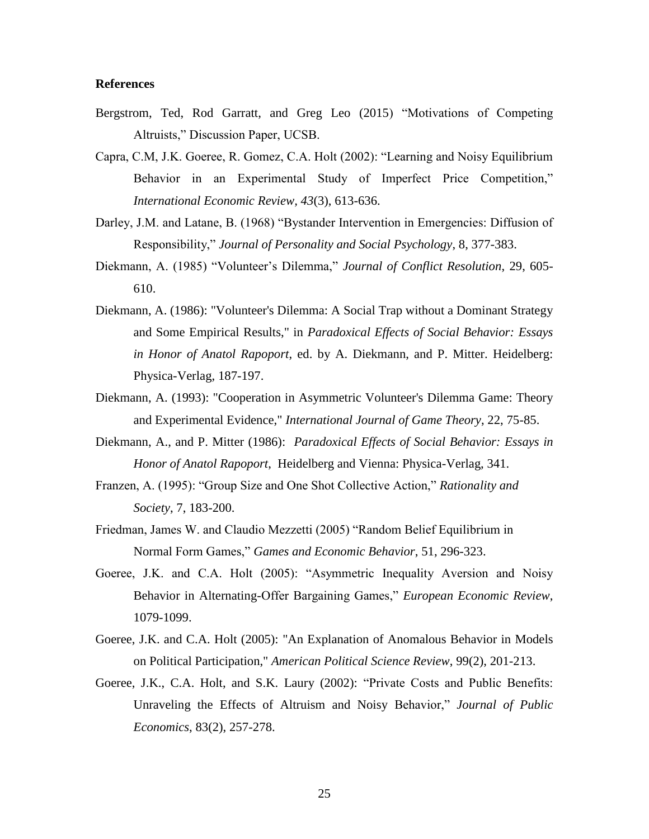#### **References**

- Bergstrom, Ted, Rod Garratt, and Greg Leo (2015) "Motivations of Competing Altruists," Discussion Paper, UCSB.
- Capra, C.M, J.K. Goeree, R. Gomez, C.A. Holt (2002): "Learning and Noisy Equilibrium Behavior in an Experimental Study of Imperfect Price Competition," *International Economic Review, 43*(3), 613-636.
- Darley, J.M. and Latane, B. (1968) "Bystander Intervention in Emergencies: Diffusion of Responsibility," *Journal of Personality and Social Psychology*, 8, 377-383.
- Diekmann, A. (1985) "Volunteer's Dilemma," *Journal of Conflict Resolution*, 29, 605- 610.
- Diekmann, A. (1986): "Volunteer's Dilemma: A Social Trap without a Dominant Strategy and Some Empirical Results," in *Paradoxical Effects of Social Behavior: Essays in Honor of Anatol Rapoport*, ed. by A. Diekmann, and P. Mitter. Heidelberg: Physica-Verlag, 187-197.
- Diekmann, A. (1993): "Cooperation in Asymmetric Volunteer's Dilemma Game: Theory and Experimental Evidence," *International Journal of Game Theory*, 22, 75-85.
- Diekmann, A., and P. Mitter (1986): *Paradoxical Effects of Social Behavior: Essays in Honor of Anatol Rapoport*, Heidelberg and Vienna: Physica-Verlag, 341.
- Franzen, A. (1995): "Group Size and One Shot Collective Action," *Rationality and Society*, 7, 183-200.
- Friedman, James W. and Claudio Mezzetti (2005) "Random Belief Equilibrium in Normal Form Games," *Games and Economic Behavior*, 51, 296-323.
- Goeree, J.K. and C.A. Holt (2005): "Asymmetric Inequality Aversion and Noisy Behavior in Alternating-Offer Bargaining Games," *European Economic Review*, 1079-1099.
- Goeree, J.K. and C.A. Holt (2005): "An Explanation of Anomalous Behavior in Models on Political Participation," *American Political Science Review*, 99(2), 201-213.
- Goeree, J.K., C.A. Holt, and S.K. Laury (2002): "Private Costs and Public Benefits: Unraveling the Effects of Altruism and Noisy Behavior," *Journal of Public Economics*, 83(2), 257-278.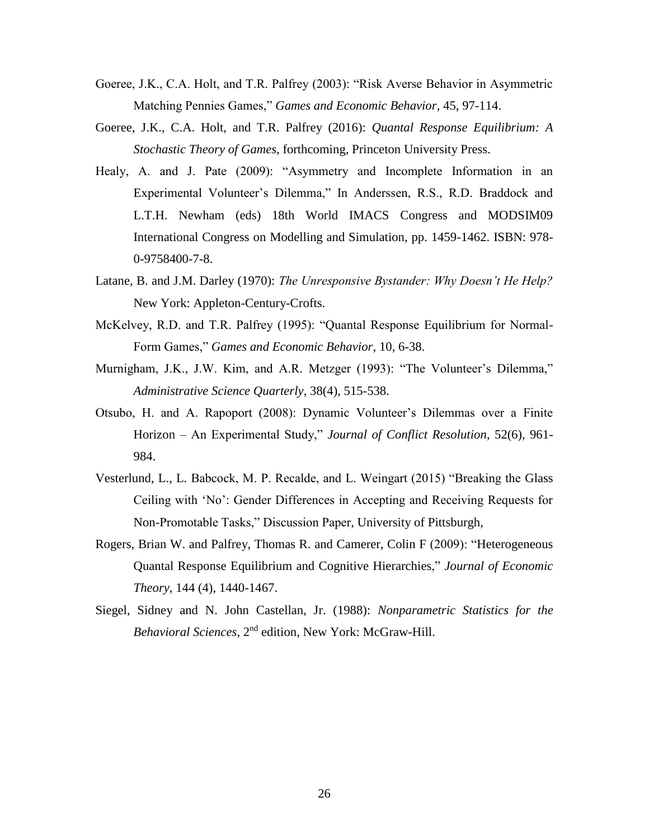- Goeree, J.K., C.A. Holt, and T.R. Palfrey (2003): "Risk Averse Behavior in Asymmetric Matching Pennies Games," *Games and Economic Behavior*, 45, 97-114.
- Goeree, J.K., C.A. Holt, and T.R. Palfrey (2016): *Quantal Response Equilibrium: A Stochastic Theory of Games*, forthcoming, Princeton University Press.
- Healy, A. and J. Pate (2009): "Asymmetry and Incomplete Information in an Experimental Volunteer's Dilemma," In Anderssen, R.S., R.D. Braddock and L.T.H. Newham (eds) 18th World IMACS Congress and MODSIM09 International Congress on Modelling and Simulation, pp. 1459-1462. ISBN: 978- 0-9758400-7-8.
- Latane, B. and J.M. Darley (1970): *The Unresponsive Bystander: Why Doesn't He Help?* New York: Appleton-Century-Crofts.
- McKelvey, R.D. and T.R. Palfrey (1995): "Quantal Response Equilibrium for Normal-Form Games," *Games and Economic Behavior*, 10, 6-38.
- Murnigham, J.K., J.W. Kim, and A.R. Metzger (1993): "The Volunteer's Dilemma," *Administrative Science Quarterly*, 38(4), 515-538.
- Otsubo, H. and A. Rapoport (2008): Dynamic Volunteer's Dilemmas over a Finite Horizon – An Experimental Study," *Journal of Conflict Resolution*, 52(6), 961- 984.
- Vesterlund, L., L. Babcock, M. P. Recalde, and L. Weingart (2015) "Breaking the Glass Ceiling with 'No': Gender Differences in Accepting and Receiving Requests for Non-Promotable Tasks," Discussion Paper, University of Pittsburgh,
- Rogers, Brian W. and Palfrey, Thomas R. and Camerer, Colin F (2009): "Heterogeneous Quantal Response Equilibrium and Cognitive Hierarchies," *Journal of Economic Theory*, 144 (4), 1440-1467.
- Siegel, Sidney and N. John Castellan, Jr. (1988): *Nonparametric Statistics for the Behavioral Sciences*, 2nd edition, New York: McGraw-Hill.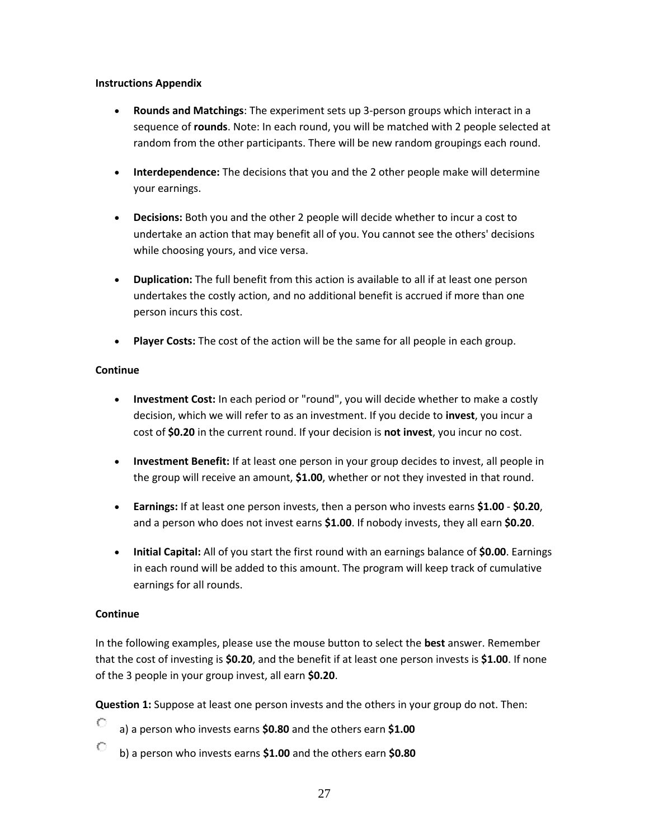#### **Instructions Appendix**

- **Rounds and Matchings**: The experiment sets up 3-person groups which interact in a sequence of **rounds**. Note: In each round, you will be matched with 2 people selected at random from the other participants. There will be new random groupings each round.
- **Interdependence:** The decisions that you and the 2 other people make will determine your earnings.
- **Decisions:** Both you and the other 2 people will decide whether to incur a cost to undertake an action that may benefit all of you. You cannot see the others' decisions while choosing yours, and vice versa.
- **Duplication:** The full benefit from this action is available to all if at least one person undertakes the costly action, and no additional benefit is accrued if more than one person incurs this cost.
- **Player Costs:** The cost of the action will be the same for all people in each group.

# **Continue**

- **Investment Cost:** In each period or "round", you will decide whether to make a costly decision, which we will refer to as an investment. If you decide to **invest**, you incur a cost of **\$0.20** in the current round. If your decision is **not invest**, you incur no cost.
- **Investment Benefit:** If at least one person in your group decides to invest, all people in the group will receive an amount, **\$1.00**, whether or not they invested in that round.
- **Earnings:** If at least one person invests, then a person who invests earns **\$1.00 \$0.20**, and a person who does not invest earns **\$1.00**. If nobody invests, they all earn **\$0.20**.
- **Initial Capital:** All of you start the first round with an earnings balance of **\$0.00**. Earnings in each round will be added to this amount. The program will keep track of cumulative earnings for all rounds.

## **Continue**

О

In the following examples, please use the mouse button to select the **best** answer. Remember that the cost of investing is **\$0.20**, and the benefit if at least one person invests is **\$1.00**. If none of the 3 people in your group invest, all earn **\$0.20**.

**Question 1:** Suppose at least one person invests and the others in your group do not. Then:

- O a) a person who invests earns **\$0.80** and the others earn **\$1.00**
	- b) a person who invests earns **\$1.00** and the others earn **\$0.80**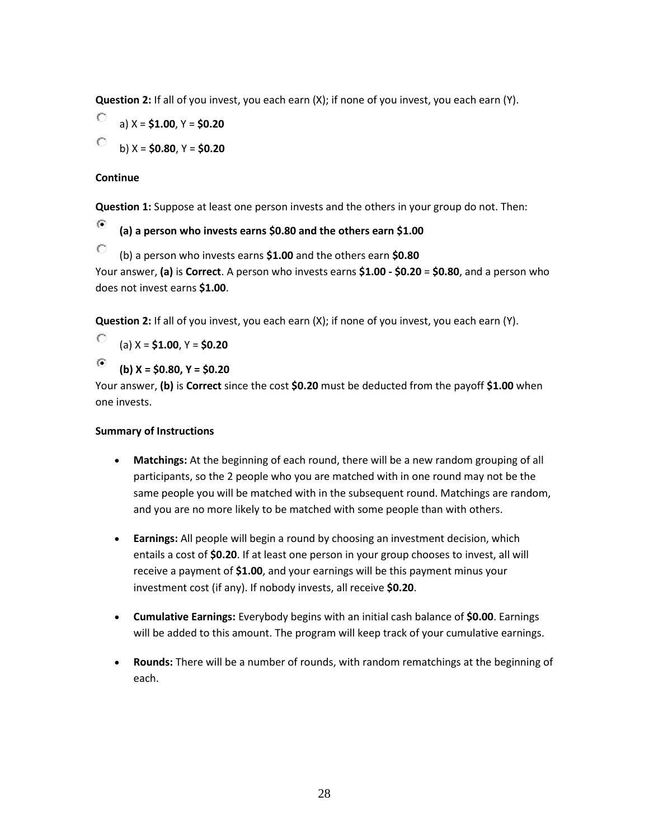**Question 2:** If all of you invest, you each earn (X); if none of you invest, you each earn (Y).

О a) X = **\$1.00**, Y = **\$0.20** О b) X = **\$0.80**, Y = **\$0.20**

#### **Continue**

**Question 1:** Suppose at least one person invests and the others in your group do not. Then:

 $\left(\widehat{\bullet}\right)$ **(a) a person who invests earns \$0.80 and the others earn \$1.00**

0 (b) a person who invests earns **\$1.00** and the others earn **\$0.80**

Your answer, **(a)** is **Correct**. A person who invests earns **\$1.00 - \$0.20** = **\$0.80**, and a person who does not invest earns **\$1.00**.

**Question 2:** If all of you invest, you each earn (X); if none of you invest, you each earn (Y).

(a) X = **\$1.00**, Y = **\$0.20**

 $\odot$ **(b) X = \$0.80, Y = \$0.20**

Your answer, **(b)** is **Correct** since the cost **\$0.20** must be deducted from the payoff **\$1.00** when one invests.

#### **Summary of Instructions**

- **Matchings:** At the beginning of each round, there will be a new random grouping of all participants, so the 2 people who you are matched with in one round may not be the same people you will be matched with in the subsequent round. Matchings are random, and you are no more likely to be matched with some people than with others.
- **Earnings:** All people will begin a round by choosing an investment decision, which entails a cost of **\$0.20**. If at least one person in your group chooses to invest, all will receive a payment of **\$1.00**, and your earnings will be this payment minus your investment cost (if any). If nobody invests, all receive **\$0.20**.
- **Cumulative Earnings:** Everybody begins with an initial cash balance of **\$0.00**. Earnings will be added to this amount. The program will keep track of your cumulative earnings.
- **Rounds:** There will be a number of rounds, with random rematchings at the beginning of each.